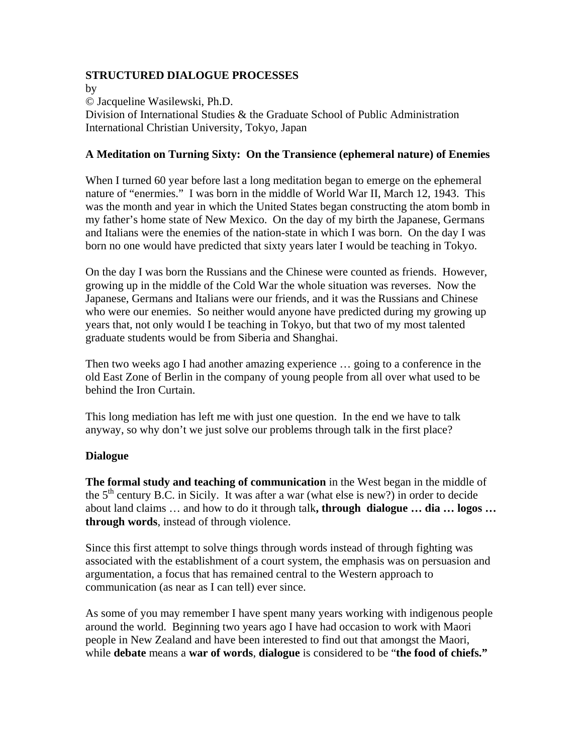### **STRUCTURED DIALOGUE PROCESSES**

by © Jacqueline Wasilewski, Ph.D. Division of International Studies & the Graduate School of Public Administration International Christian University, Tokyo, Japan

#### **A Meditation on Turning Sixty: On the Transience (ephemeral nature) of Enemies**

When I turned 60 year before last a long meditation began to emerge on the ephemeral nature of "enermies." I was born in the middle of World War II, March 12, 1943. This was the month and year in which the United States began constructing the atom bomb in my father's home state of New Mexico. On the day of my birth the Japanese, Germans and Italians were the enemies of the nation-state in which I was born. On the day I was born no one would have predicted that sixty years later I would be teaching in Tokyo.

On the day I was born the Russians and the Chinese were counted as friends. However, growing up in the middle of the Cold War the whole situation was reverses. Now the Japanese, Germans and Italians were our friends, and it was the Russians and Chinese who were our enemies. So neither would anyone have predicted during my growing up years that, not only would I be teaching in Tokyo, but that two of my most talented graduate students would be from Siberia and Shanghai.

Then two weeks ago I had another amazing experience … going to a conference in the old East Zone of Berlin in the company of young people from all over what used to be behind the Iron Curtain.

This long mediation has left me with just one question. In the end we have to talk anyway, so why don't we just solve our problems through talk in the first place?

#### **Dialogue**

**The formal study and teaching of communication** in the West began in the middle of the  $5<sup>th</sup>$  century B.C. in Sicily. It was after a war (what else is new?) in order to decide about land claims … and how to do it through talk**, through dialogue … dia … logos … through words**, instead of through violence.

Since this first attempt to solve things through words instead of through fighting was associated with the establishment of a court system, the emphasis was on persuasion and argumentation, a focus that has remained central to the Western approach to communication (as near as I can tell) ever since.

As some of you may remember I have spent many years working with indigenous people around the world. Beginning two years ago I have had occasion to work with Maori people in New Zealand and have been interested to find out that amongst the Maori, while **debate** means a **war of words**, **dialogue** is considered to be "**the food of chiefs."**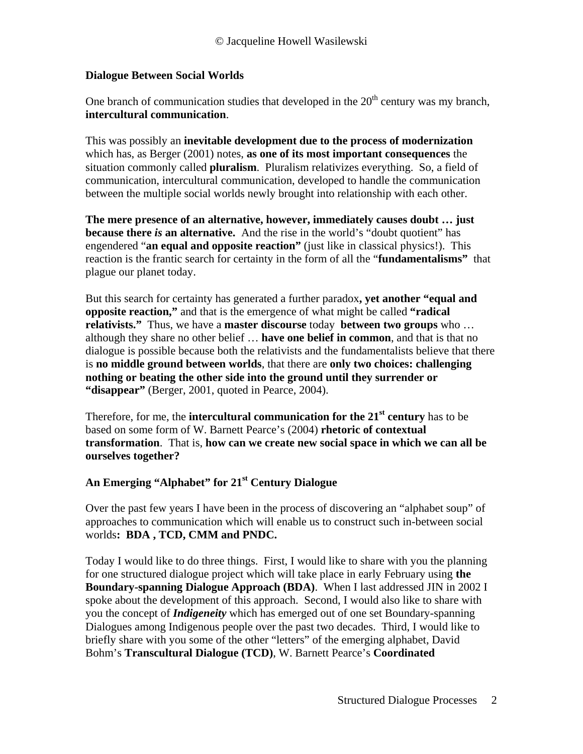#### **Dialogue Between Social Worlds**

One branch of communication studies that developed in the  $20<sup>th</sup>$  century was my branch, **intercultural communication**.

This was possibly an **inevitable development due to the process of modernization** which has, as Berger (2001) notes, **as one of its most important consequences** the situation commonly called **pluralism**. Pluralism relativizes everything. So, a field of communication, intercultural communication, developed to handle the communication between the multiple social worlds newly brought into relationship with each other.

**The mere presence of an alternative, however, immediately causes doubt … just because there** *is* **an alternative.** And the rise in the world's "doubt quotient" has engendered "**an equal and opposite reaction"** (just like in classical physics!). This reaction is the frantic search for certainty in the form of all the "**fundamentalisms"** that plague our planet today.

But this search for certainty has generated a further paradox**, yet another "equal and opposite reaction,"** and that is the emergence of what might be called **"radical relativists."** Thus, we have a **master discourse** today **between two groups** who … although they share no other belief … **have one belief in common**, and that is that no dialogue is possible because both the relativists and the fundamentalists believe that there is **no middle ground between worlds**, that there are **only two choices: challenging nothing or beating the other side into the ground until they surrender or "disappear"** (Berger, 2001, quoted in Pearce, 2004).

Therefore, for me, the **intercultural communication for the 21st century** has to be based on some form of W. Barnett Pearce's (2004) **rhetoric of contextual transformation**. That is, **how can we create new social space in which we can all be ourselves together?** 

# **An Emerging "Alphabet" for 21st Century Dialogue**

Over the past few years I have been in the process of discovering an "alphabet soup" of approaches to communication which will enable us to construct such in-between social worlds**: BDA , TCD, CMM and PNDC.** 

Today I would like to do three things. First, I would like to share with you the planning for one structured dialogue project which will take place in early February using **the Boundary-spanning Dialogue Approach (BDA)**. When I last addressed JIN in 2002 I spoke about the development of this approach. Second, I would also like to share with you the concept of *Indigeneity* which has emerged out of one set Boundary-spanning Dialogues among Indigenous people over the past two decades. Third, I would like to briefly share with you some of the other "letters" of the emerging alphabet, David Bohm's **Transcultural Dialogue (TCD)**, W. Barnett Pearce's **Coordinated**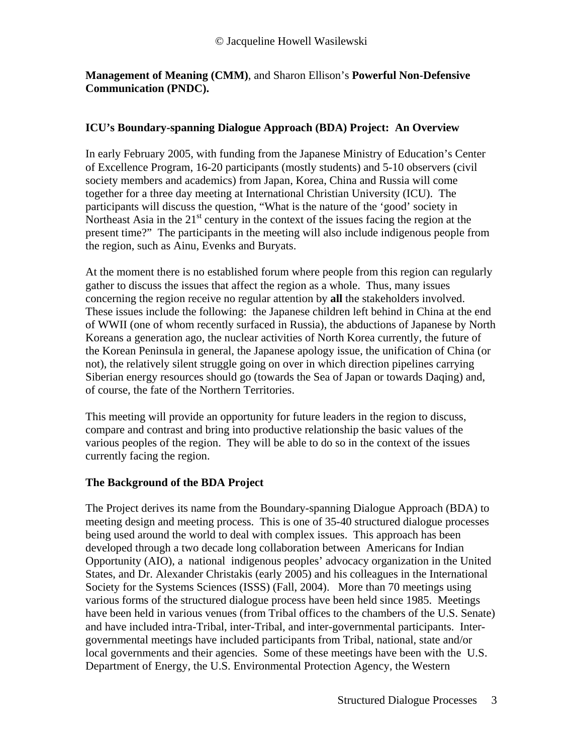# **Management of Meaning (CMM)**, and Sharon Ellison's **Powerful Non-Defensive Communication (PNDC).**

# **ICU's Boundary-spanning Dialogue Approach (BDA) Project: An Overview**

In early February 2005, with funding from the Japanese Ministry of Education's Center of Excellence Program, 16-20 participants (mostly students) and 5-10 observers (civil society members and academics) from Japan, Korea, China and Russia will come together for a three day meeting at International Christian University (ICU). The participants will discuss the question, "What is the nature of the 'good' society in Northeast Asia in the  $21<sup>st</sup>$  century in the context of the issues facing the region at the present time?"The participants in the meeting will also include indigenous people from the region, such as Ainu, Evenks and Buryats.

At the moment there is no established forum where people from this region can regularly gather to discuss the issues that affect the region as a whole. Thus, many issues concerning the region receive no regular attention by **all** the stakeholders involved. These issues include the following: the Japanese children left behind in China at the end of WWII (one of whom recently surfaced in Russia), the abductions of Japanese by North Koreans a generation ago, the nuclear activities of North Korea currently, the future of the Korean Peninsula in general, the Japanese apology issue, the unification of China (or not), the relatively silent struggle going on over in which direction pipelines carrying Siberian energy resources should go (towards the Sea of Japan or towards Daqing) and, of course, the fate of the Northern Territories.

This meeting will provide an opportunity for future leaders in the region to discuss, compare and contrast and bring into productive relationship the basic values of the various peoples of the region. They will be able to do so in the context of the issues currently facing the region.

# **The Background of the BDA Project**

The Project derives its name from the Boundary-spanning Dialogue Approach (BDA) to meeting design and meeting process. This is one of 35-40 structured dialogue processes being used around the world to deal with complex issues. This approach has been developed through a two decade long collaboration between Americans for Indian Opportunity (AIO), a national indigenous peoples' advocacy organization in the United States, and Dr. Alexander Christakis (early 2005) and his colleagues in the International Society for the Systems Sciences (ISSS) (Fall, 2004). More than 70 meetings using various forms of the structured dialogue process have been held since 1985. Meetings have been held in various venues (from Tribal offices to the chambers of the U.S. Senate) and have included intra-Tribal, inter-Tribal, and inter-governmental participants. Intergovernmental meetings have included participants from Tribal, national, state and/or local governments and their agencies. Some of these meetings have been with the U.S. Department of Energy, the U.S. Environmental Protection Agency, the Western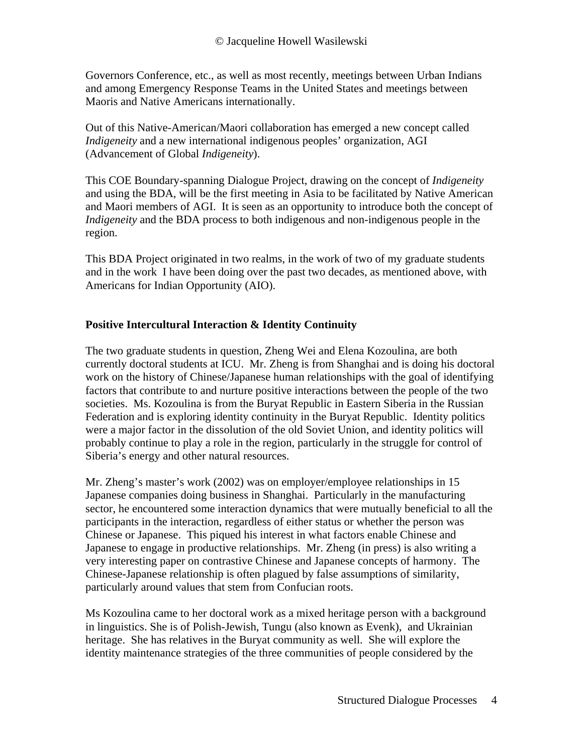Governors Conference, etc., as well as most recently, meetings between Urban Indians and among Emergency Response Teams in the United States and meetings between Maoris and Native Americans internationally.

Out of this Native-American/Maori collaboration has emerged a new concept called *Indigeneity* and a new international indigenous peoples' organization, AGI (Advancement of Global *Indigeneity*).

This COE Boundary-spanning Dialogue Project, drawing on the concept of *Indigeneity* and using the BDA, will be the first meeting in Asia to be facilitated by Native American and Maori members of AGI. It is seen as an opportunity to introduce both the concept of *Indigeneity* and the BDA process to both indigenous and non-indigenous people in the region.

This BDA Project originated in two realms, in the work of two of my graduate students and in the work I have been doing over the past two decades, as mentioned above, with Americans for Indian Opportunity (AIO).

# **Positive Intercultural Interaction & Identity Continuity**

The two graduate students in question, Zheng Wei and Elena Kozoulina, are both currently doctoral students at ICU. Mr. Zheng is from Shanghai and is doing his doctoral work on the history of Chinese/Japanese human relationships with the goal of identifying factors that contribute to and nurture positive interactions between the people of the two societies. Ms. Kozoulina is from the Buryat Republic in Eastern Siberia in the Russian Federation and is exploring identity continuity in the Buryat Republic. Identity politics were a major factor in the dissolution of the old Soviet Union, and identity politics will probably continue to play a role in the region, particularly in the struggle for control of Siberia's energy and other natural resources.

Mr. Zheng's master's work (2002) was on employer/employee relationships in 15 Japanese companies doing business in Shanghai. Particularly in the manufacturing sector, he encountered some interaction dynamics that were mutually beneficial to all the participants in the interaction, regardless of either status or whether the person was Chinese or Japanese. This piqued his interest in what factors enable Chinese and Japanese to engage in productive relationships. Mr. Zheng (in press) is also writing a very interesting paper on contrastive Chinese and Japanese concepts of harmony. The Chinese-Japanese relationship is often plagued by false assumptions of similarity, particularly around values that stem from Confucian roots.

Ms Kozoulina came to her doctoral work as a mixed heritage person with a background in linguistics. She is of Polish-Jewish, Tungu (also known as Evenk), and Ukrainian heritage. She has relatives in the Buryat community as well. She will explore the identity maintenance strategies of the three communities of people considered by the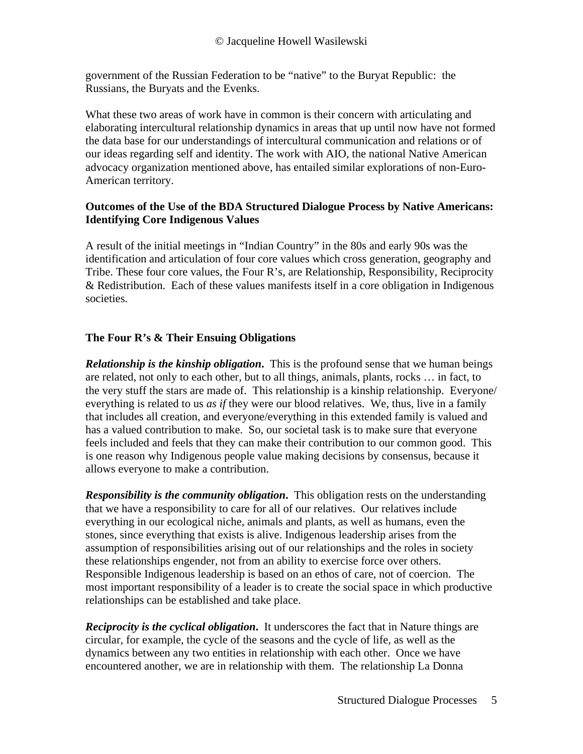government of the Russian Federation to be "native" to the Buryat Republic: the Russians, the Buryats and the Evenks.

What these two areas of work have in common is their concern with articulating and elaborating intercultural relationship dynamics in areas that up until now have not formed the data base for our understandings of intercultural communication and relations or of our ideas regarding self and identity. The work with AIO, the national Native American advocacy organization mentioned above, has entailed similar explorations of non-Euro-American territory.

### **Outcomes of the Use of the BDA Structured Dialogue Process by Native Americans: Identifying Core Indigenous Values**

A result of the initial meetings in "Indian Country" in the 80s and early 90s was the identification and articulation of four core values which cross generation, geography and Tribe. These four core values, the Four R's, are Relationship, Responsibility, Reciprocity & Redistribution. Each of these values manifests itself in a core obligation in Indigenous societies.

# **The Four R's & Their Ensuing Obligations**

*Relationship is the kinship obligation***.** This is the profound sense that we human beings are related, not only to each other, but to all things, animals, plants, rocks … in fact, to the very stuff the stars are made of. This relationship is a kinship relationship. Everyone/ everything is related to us *as if* they were our blood relatives. We, thus, live in a family that includes all creation, and everyone/everything in this extended family is valued and has a valued contribution to make. So, our societal task is to make sure that everyone feels included and feels that they can make their contribution to our common good. This is one reason why Indigenous people value making decisions by consensus, because it allows everyone to make a contribution.

*Responsibility is the community obligation***.** This obligation rests on the understanding that we have a responsibility to care for all of our relatives. Our relatives include everything in our ecological niche, animals and plants, as well as humans, even the stones, since everything that exists is alive. Indigenous leadership arises from the assumption of responsibilities arising out of our relationships and the roles in society these relationships engender, not from an ability to exercise force over others. Responsible Indigenous leadership is based on an ethos of care, not of coercion. The most important responsibility of a leader is to create the social space in which productive relationships can be established and take place.

*Reciprocity is the cyclical obligation***.** It underscores the fact that in Nature things are circular, for example, the cycle of the seasons and the cycle of life, as well as the dynamics between any two entities in relationship with each other. Once we have encountered another, we are in relationship with them. The relationship La Donna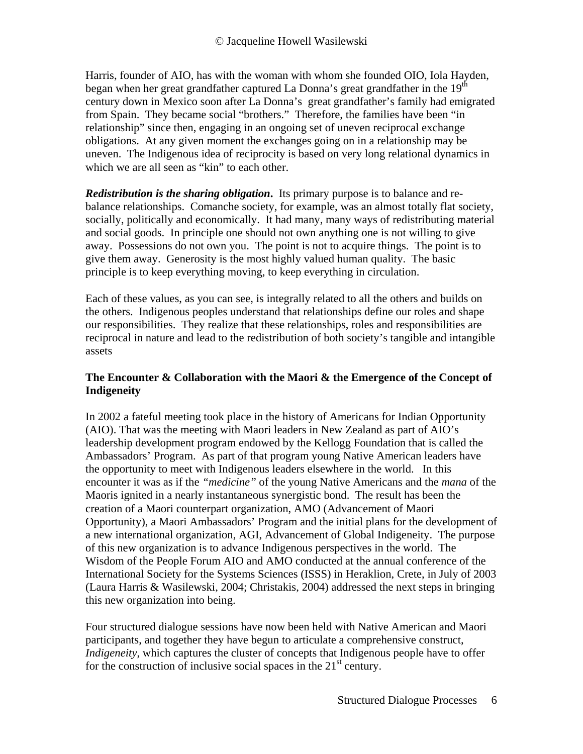Harris, founder of AIO, has with the woman with whom she founded OIO, Iola Hayden, began when her great grandfather captured La Donna's great grandfather in the 19<sup>th</sup> century down in Mexico soon after La Donna's great grandfather's family had emigrated from Spain. They became social "brothers." Therefore, the families have been "in relationship" since then, engaging in an ongoing set of uneven reciprocal exchange obligations. At any given moment the exchanges going on in a relationship may be uneven. The Indigenous idea of reciprocity is based on very long relational dynamics in which we are all seen as "kin" to each other.

*Redistribution is the sharing obligation***.** Its primary purpose is to balance and rebalance relationships. Comanche society, for example, was an almost totally flat society, socially, politically and economically. It had many, many ways of redistributing material and social goods. In principle one should not own anything one is not willing to give away. Possessions do not own you. The point is not to acquire things. The point is to give them away. Generosity is the most highly valued human quality. The basic principle is to keep everything moving, to keep everything in circulation.

Each of these values, as you can see, is integrally related to all the others and builds on the others. Indigenous peoples understand that relationships define our roles and shape our responsibilities. They realize that these relationships, roles and responsibilities are reciprocal in nature and lead to the redistribution of both society's tangible and intangible assets

#### **The Encounter & Collaboration with the Maori & the Emergence of the Concept of Indigeneity**

In 2002 a fateful meeting took place in the history of Americans for Indian Opportunity (AIO). That was the meeting with Maori leaders in New Zealand as part of AIO's leadership development program endowed by the Kellogg Foundation that is called the Ambassadors' Program. As part of that program young Native American leaders have the opportunity to meet with Indigenous leaders elsewhere in the world. In this encounter it was as if the *"medicine"* of the young Native Americans and the *mana* of the Maoris ignited in a nearly instantaneous synergistic bond. The result has been the creation of a Maori counterpart organization, AMO (Advancement of Maori Opportunity), a Maori Ambassadors' Program and the initial plans for the development of a new international organization, AGI, Advancement of Global Indigeneity. The purpose of this new organization is to advance Indigenous perspectives in the world. The Wisdom of the People Forum AIO and AMO conducted at the annual conference of the International Society for the Systems Sciences (ISSS) in Heraklion, Crete, in July of 2003 (Laura Harris & Wasilewski, 2004; Christakis, 2004) addressed the next steps in bringing this new organization into being.

Four structured dialogue sessions have now been held with Native American and Maori participants, and together they have begun to articulate a comprehensive construct, *Indigeneity*, which captures the cluster of concepts that Indigenous people have to offer for the construction of inclusive social spaces in the  $21<sup>st</sup>$  century.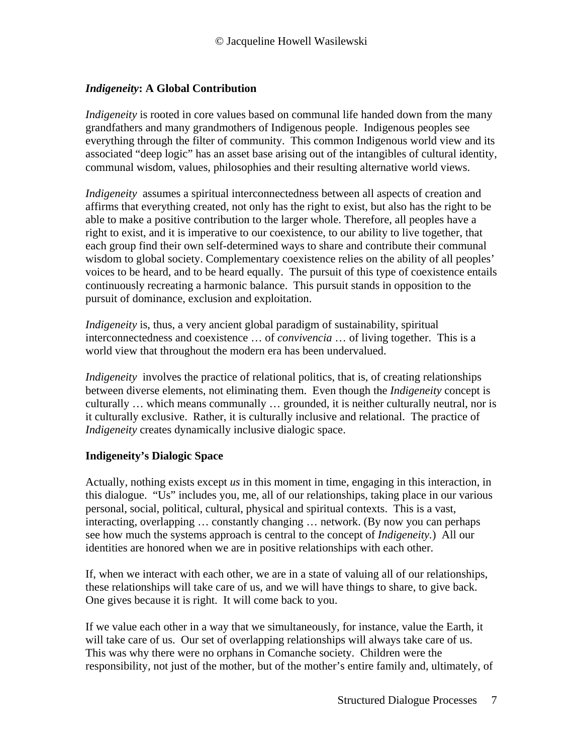#### *Indigeneity***: A Global Contribution**

*Indigeneity* is rooted in core values based on communal life handed down from the many grandfathers and many grandmothers of Indigenous people. Indigenous peoples see everything through the filter of community. This common Indigenous world view and its associated "deep logic" has an asset base arising out of the intangibles of cultural identity, communal wisdom, values, philosophies and their resulting alternative world views.

*Indigeneity* assumes a spiritual interconnectedness between all aspects of creation and affirms that everything created, not only has the right to exist, but also has the right to be able to make a positive contribution to the larger whole. Therefore, all peoples have a right to exist, and it is imperative to our coexistence, to our ability to live together, that each group find their own self-determined ways to share and contribute their communal wisdom to global society. Complementary coexistence relies on the ability of all peoples' voices to be heard, and to be heard equally. The pursuit of this type of coexistence entails continuously recreating a harmonic balance. This pursuit stands in opposition to the pursuit of dominance, exclusion and exploitation.

*Indigeneity* is, thus, a very ancient global paradigm of sustainability, spiritual interconnectedness and coexistence … of *convivencia* … of living together. This is a world view that throughout the modern era has been undervalued.

*Indigeneity* involves the practice of relational politics, that is, of creating relationships between diverse elements, not eliminating them. Even though the *Indigeneity* concept is culturally … which means communally … grounded, it is neither culturally neutral, nor is it culturally exclusive. Rather, it is culturally inclusive and relational. The practice of *Indigeneity* creates dynamically inclusive dialogic space.

#### **Indigeneity's Dialogic Space**

Actually, nothing exists except *us* in this moment in time, engaging in this interaction, in this dialogue. "Us" includes you, me, all of our relationships, taking place in our various personal, social, political, cultural, physical and spiritual contexts. This is a vast, interacting, overlapping … constantly changing … network. (By now you can perhaps see how much the systems approach is central to the concept of *Indigeneity.*) All our identities are honored when we are in positive relationships with each other.

If, when we interact with each other, we are in a state of valuing all of our relationships, these relationships will take care of us, and we will have things to share, to give back. One gives because it is right. It will come back to you.

If we value each other in a way that we simultaneously, for instance, value the Earth, it will take care of us. Our set of overlapping relationships will always take care of us. This was why there were no orphans in Comanche society. Children were the responsibility, not just of the mother, but of the mother's entire family and, ultimately, of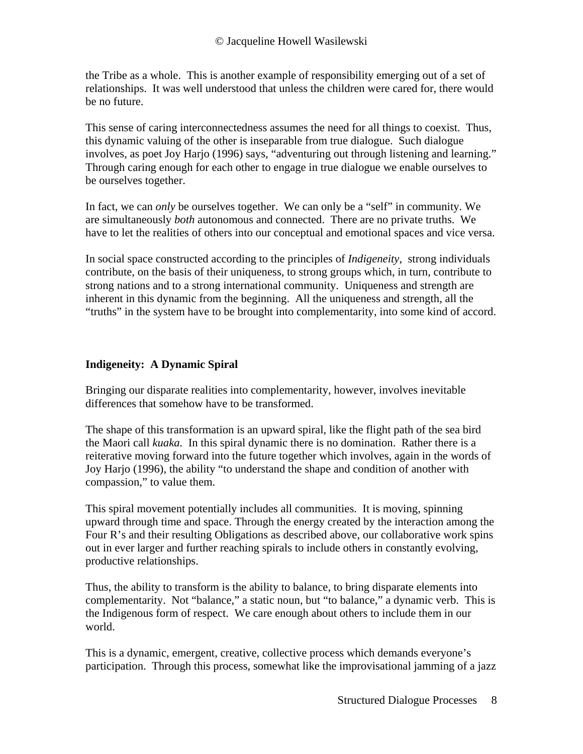the Tribe as a whole. This is another example of responsibility emerging out of a set of relationships. It was well understood that unless the children were cared for, there would be no future.

This sense of caring interconnectedness assumes the need for all things to coexist. Thus, this dynamic valuing of the other is inseparable from true dialogue. Such dialogue involves, as poet Joy Harjo (1996) says, "adventuring out through listening and learning." Through caring enough for each other to engage in true dialogue we enable ourselves to be ourselves together.

In fact, we can *only* be ourselves together. We can only be a "self" in community. We are simultaneously *both* autonomous and connected. There are no private truths. We have to let the realities of others into our conceptual and emotional spaces and vice versa.

In social space constructed according to the principles of *Indigeneity*, strong individuals contribute, on the basis of their uniqueness, to strong groups which, in turn, contribute to strong nations and to a strong international community. Uniqueness and strength are inherent in this dynamic from the beginning. All the uniqueness and strength, all the "truths" in the system have to be brought into complementarity, into some kind of accord.

# **Indigeneity: A Dynamic Spiral**

Bringing our disparate realities into complementarity, however, involves inevitable differences that somehow have to be transformed.

The shape of this transformation is an upward spiral, like the flight path of the sea bird the Maori call *kuaka.* In this spiral dynamic there is no domination. Rather there is a reiterative moving forward into the future together which involves, again in the words of Joy Harjo (1996), the ability "to understand the shape and condition of another with compassion," to value them.

This spiral movement potentially includes all communities. It is moving, spinning upward through time and space. Through the energy created by the interaction among the Four R's and their resulting Obligations as described above, our collaborative work spins out in ever larger and further reaching spirals to include others in constantly evolving, productive relationships.

Thus, the ability to transform is the ability to balance, to bring disparate elements into complementarity. Not "balance," a static noun, but "to balance," a dynamic verb. This is the Indigenous form of respect. We care enough about others to include them in our world.

This is a dynamic, emergent, creative, collective process which demands everyone's participation. Through this process, somewhat like the improvisational jamming of a jazz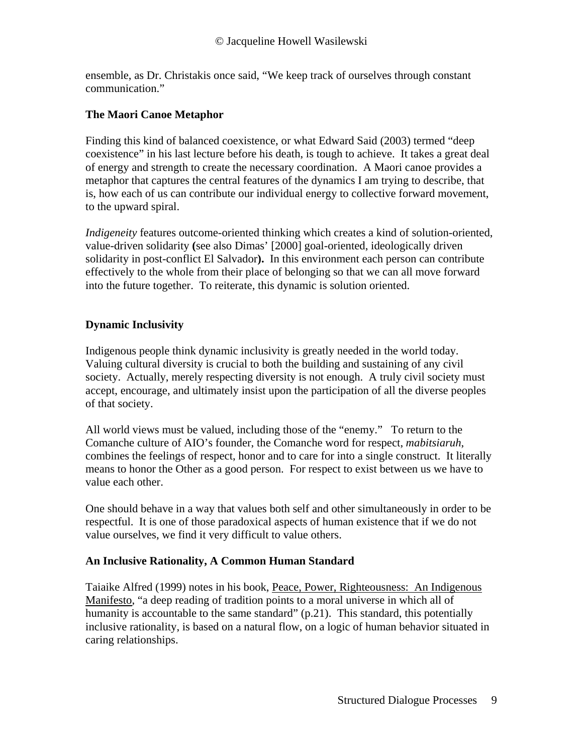ensemble, as Dr. Christakis once said, "We keep track of ourselves through constant communication."

# **The Maori Canoe Metaphor**

Finding this kind of balanced coexistence, or what Edward Said (2003) termed "deep coexistence" in his last lecture before his death, is tough to achieve. It takes a great deal of energy and strength to create the necessary coordination. A Maori canoe provides a metaphor that captures the central features of the dynamics I am trying to describe, that is, how each of us can contribute our individual energy to collective forward movement, to the upward spiral.

*Indigeneity* features outcome-oriented thinking which creates a kind of solution-oriented, value-driven solidarity **(**see also Dimas' [2000] goal-oriented, ideologically driven solidarity in post-conflict El Salvador**).** In this environment each person can contribute effectively to the whole from their place of belonging so that we can all move forward into the future together. To reiterate, this dynamic is solution oriented.

# **Dynamic Inclusivity**

Indigenous people think dynamic inclusivity is greatly needed in the world today. Valuing cultural diversity is crucial to both the building and sustaining of any civil society. Actually, merely respecting diversity is not enough. A truly civil society must accept, encourage, and ultimately insist upon the participation of all the diverse peoples of that society.

All world views must be valued, including those of the "enemy." To return to the Comanche culture of AIO's founder, the Comanche word for respect, *mabitsiaruh*, combines the feelings of respect, honor and to care for into a single construct. It literally means to honor the Other as a good person. For respect to exist between us we have to value each other.

One should behave in a way that values both self and other simultaneously in order to be respectful. It is one of those paradoxical aspects of human existence that if we do not value ourselves, we find it very difficult to value others.

#### **An Inclusive Rationality, A Common Human Standard**

Taiaike Alfred (1999) notes in his book, Peace, Power, Righteousness: An Indigenous Manifesto, "a deep reading of tradition points to a moral universe in which all of humanity is accountable to the same standard" (p.21). This standard, this potentially inclusive rationality, is based on a natural flow, on a logic of human behavior situated in caring relationships.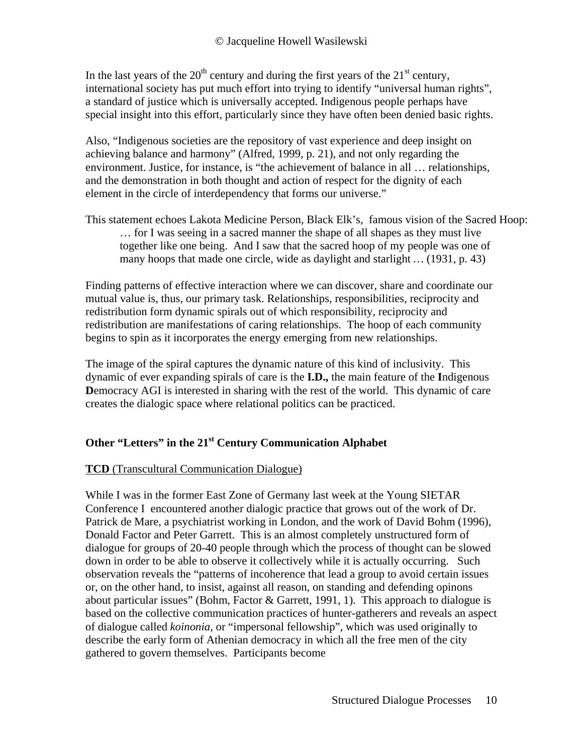In the last years of the  $20<sup>th</sup>$  century and during the first years of the  $21<sup>st</sup>$  century, international society has put much effort into trying to identify "universal human rights", a standard of justice which is universally accepted. Indigenous people perhaps have special insight into this effort, particularly since they have often been denied basic rights.

Also, "Indigenous societies are the repository of vast experience and deep insight on achieving balance and harmony" (Alfred, 1999, p. 21), and not only regarding the environment. Justice, for instance, is "the achievement of balance in all … relationships, and the demonstration in both thought and action of respect for the dignity of each element in the circle of interdependency that forms our universe."

This statement echoes Lakota Medicine Person, Black Elk's, famous vision of the Sacred Hoop: … for I was seeing in a sacred manner the shape of all shapes as they must live together like one being. And I saw that the sacred hoop of my people was one of many hoops that made one circle, wide as daylight and starlight *…* (1931, p. 43)

Finding patterns of effective interaction where we can discover, share and coordinate our mutual value is, thus, our primary task. Relationships, responsibilities, reciprocity and redistribution form dynamic spirals out of which responsibility, reciprocity and redistribution are manifestations of caring relationships. The hoop of each community begins to spin as it incorporates the energy emerging from new relationships.

The image of the spiral captures the dynamic nature of this kind of inclusivity. This dynamic of ever expanding spirals of care is the **I.D.,** the main feature of the **I**ndigenous **D**emocracy AGI is interested in sharing with the rest of the world. This dynamic of care creates the dialogic space where relational politics can be practiced.

# **Other "Letters" in the 21st Century Communication Alphabet**

#### **TCD** (Transcultural Communication Dialogue)

While I was in the former East Zone of Germany last week at the Young SIETAR Conference I encountered another dialogic practice that grows out of the work of Dr. Patrick de Mare, a psychiatrist working in London, and the work of David Bohm (1996), Donald Factor and Peter Garrett. This is an almost completely unstructured form of dialogue for groups of 20-40 people through which the process of thought can be slowed down in order to be able to observe it collectively while it is actually occurring. Such observation reveals the "patterns of incoherence that lead a group to avoid certain issues or, on the other hand, to insist, against all reason, on standing and defending opinons about particular issues" (Bohm, Factor & Garrett, 1991, 1). This approach to dialogue is based on the collective communication practices of hunter-gatherers and reveals an aspect of dialogue called *koinonia*, or "impersonal fellowship", which was used originally to describe the early form of Athenian democracy in which all the free men of the city gathered to govern themselves. Participants become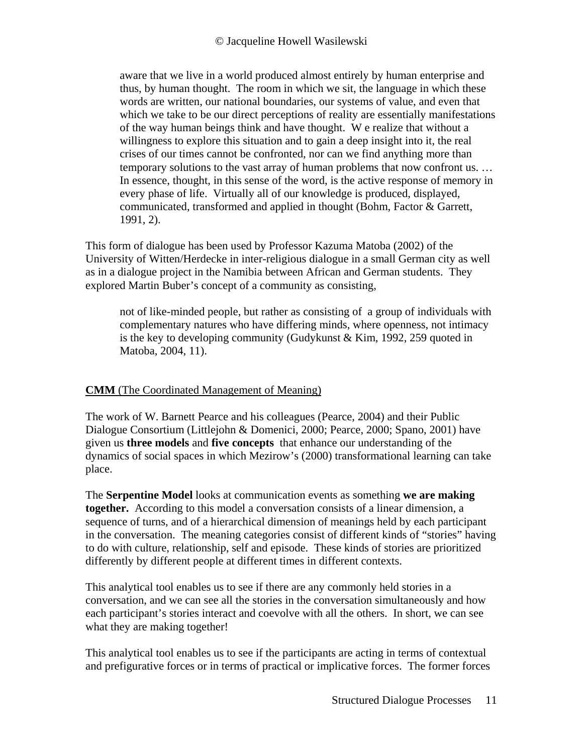aware that we live in a world produced almost entirely by human enterprise and thus, by human thought. The room in which we sit, the language in which these words are written, our national boundaries, our systems of value, and even that which we take to be our direct perceptions of reality are essentially manifestations of the way human beings think and have thought. W e realize that without a willingness to explore this situation and to gain a deep insight into it, the real crises of our times cannot be confronted, nor can we find anything more than temporary solutions to the vast array of human problems that now confront us. … In essence, thought, in this sense of the word, is the active response of memory in every phase of life. Virtually all of our knowledge is produced, displayed, communicated, transformed and applied in thought (Bohm, Factor & Garrett, 1991, 2).

This form of dialogue has been used by Professor Kazuma Matoba (2002) of the University of Witten/Herdecke in inter-religious dialogue in a small German city as well as in a dialogue project in the Namibia between African and German students. They explored Martin Buber's concept of a community as consisting,

not of like-minded people, but rather as consisting of a group of individuals with complementary natures who have differing minds, where openness, not intimacy is the key to developing community (Gudykunst & Kim, 1992, 259 quoted in Matoba, 2004, 11).

#### **CMM** (The Coordinated Management of Meaning)

The work of W. Barnett Pearce and his colleagues (Pearce, 2004) and their Public Dialogue Consortium (Littlejohn & Domenici, 2000; Pearce, 2000; Spano, 2001) have given us **three models** and **five concepts** that enhance our understanding of the dynamics of social spaces in which Mezirow's (2000) transformational learning can take place.

The **Serpentine Model** looks at communication events as something **we are making together.** According to this model a conversation consists of a linear dimension, a sequence of turns, and of a hierarchical dimension of meanings held by each participant in the conversation. The meaning categories consist of different kinds of "stories" having to do with culture, relationship, self and episode. These kinds of stories are prioritized differently by different people at different times in different contexts.

This analytical tool enables us to see if there are any commonly held stories in a conversation, and we can see all the stories in the conversation simultaneously and how each participant's stories interact and coevolve with all the others. In short, we can see what they are making together!

This analytical tool enables us to see if the participants are acting in terms of contextual and prefigurative forces or in terms of practical or implicative forces. The former forces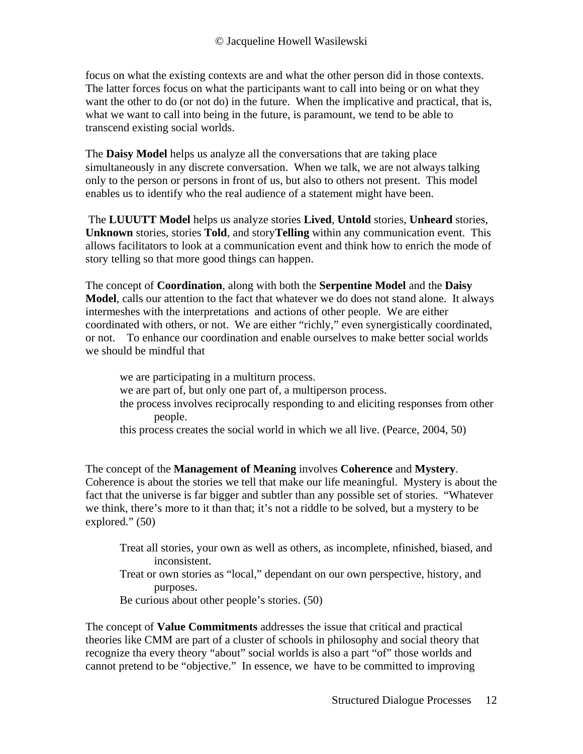focus on what the existing contexts are and what the other person did in those contexts. The latter forces focus on what the participants want to call into being or on what they want the other to do (or not do) in the future. When the implicative and practical, that is, what we want to call into being in the future, is paramount, we tend to be able to transcend existing social worlds.

The **Daisy Model** helps us analyze all the conversations that are taking place simultaneously in any discrete conversation. When we talk, we are not always talking only to the person or persons in front of us, but also to others not present. This model enables us to identify who the real audience of a statement might have been.

 The **LUUUTT Model** helps us analyze stories **Lived**, **Untold** stories, **Unheard** stories, **Unknown** stories, stories **Told**, and story**Telling** within any communication event. This allows facilitators to look at a communication event and think how to enrich the mode of story telling so that more good things can happen.

The concept of **Coordination**, along with both the **Serpentine Model** and the **Daisy Model**, calls our attention to the fact that whatever we do does not stand alone. It always intermeshes with the interpretations and actions of other people. We are either coordinated with others, or not. We are either "richly," even synergistically coordinated, or not. To enhance our coordination and enable ourselves to make better social worlds we should be mindful that

 we are participating in a multiturn process. we are part of, but only one part of, a multiperson process. the process involves reciprocally responding to and eliciting responses from other people. this process creates the social world in which we all live. (Pearce, 2004, 50)

The concept of the **Management of Meaning** involves **Coherence** and **Mystery**. Coherence is about the stories we tell that make our life meaningful. Mystery is about the fact that the universe is far bigger and subtler than any possible set of stories. "Whatever we think, there's more to it than that; it's not a riddle to be solved, but a mystery to be explored." (50)

- Treat all stories, your own as well as others, as incomplete, nfinished, biased, and inconsistent.
- Treat or own stories as "local," dependant on our own perspective, history, and purposes.

Be curious about other people's stories. (50)

The concept of **Value Commitments** addresses the issue that critical and practical theories like CMM are part of a cluster of schools in philosophy and social theory that recognize tha every theory "about" social worlds is also a part "of" those worlds and cannot pretend to be "objective." In essence, we have to be committed to improving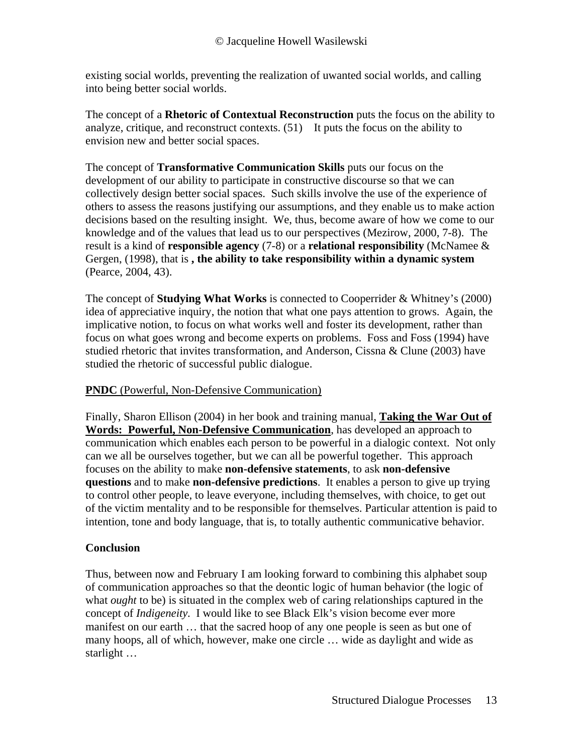existing social worlds, preventing the realization of uwanted social worlds, and calling into being better social worlds.

The concept of a **Rhetoric of Contextual Reconstruction** puts the focus on the ability to analyze, critique, and reconstruct contexts. (51) It puts the focus on the ability to envision new and better social spaces.

The concept of **Transformative Communication Skills** puts our focus on the development of our ability to participate in constructive discourse so that we can collectively design better social spaces. Such skills involve the use of the experience of others to assess the reasons justifying our assumptions, and they enable us to make action decisions based on the resulting insight. We, thus, become aware of how we come to our knowledge and of the values that lead us to our perspectives (Mezirow, 2000, 7-8). The result is a kind of **responsible agency** (7-8) or a **relational responsibility** (McNamee & Gergen, (1998), that is **, the ability to take responsibility within a dynamic system** (Pearce, 2004, 43).

The concept of **Studying What Works** is connected to Cooperrider & Whitney's (2000) idea of appreciative inquiry, the notion that what one pays attention to grows. Again, the implicative notion, to focus on what works well and foster its development, rather than focus on what goes wrong and become experts on problems. Foss and Foss (1994) have studied rhetoric that invites transformation, and Anderson, Cissna & Clune (2003) have studied the rhetoric of successful public dialogue.

#### **PNDC** (Powerful, Non-Defensive Communication)

Finally, Sharon Ellison (2004) in her book and training manual, **Taking the War Out of Words: Powerful, Non-Defensive Communication**, has developed an approach to communication which enables each person to be powerful in a dialogic context. Not only can we all be ourselves together, but we can all be powerful together. This approach focuses on the ability to make **non-defensive statements**, to ask **non-defensive questions** and to make **non-defensive predictions**. It enables a person to give up trying to control other people, to leave everyone, including themselves, with choice, to get out of the victim mentality and to be responsible for themselves. Particular attention is paid to intention, tone and body language, that is, to totally authentic communicative behavior.

#### **Conclusion**

Thus, between now and February I am looking forward to combining this alphabet soup of communication approaches so that the deontic logic of human behavior (the logic of what *ought* to be) is situated in the complex web of caring relationships captured in the concept of *Indigeneity.* I would like to see Black Elk's vision become ever more manifest on our earth … that the sacred hoop of any one people is seen as but one of many hoops, all of which, however, make one circle … wide as daylight and wide as starlight …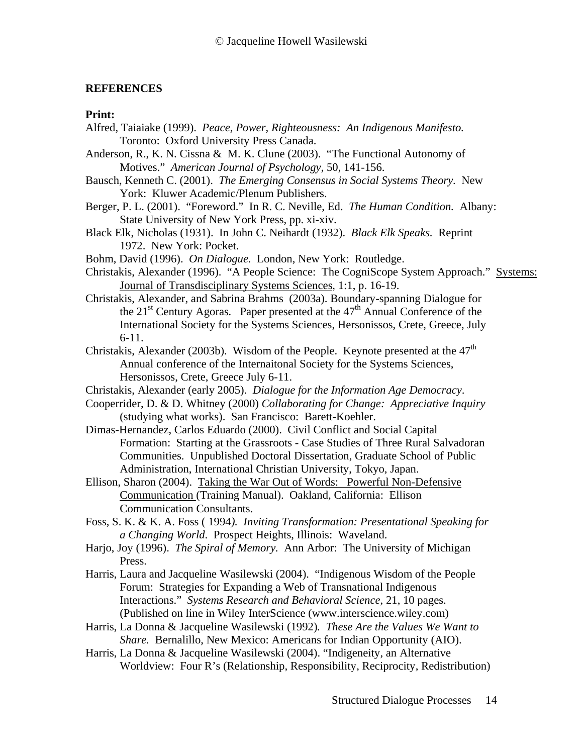#### **REFERENCES**

#### **Print:**

- Alfred, Taiaiake (1999). *Peace, Power, Righteousness: An Indigenous Manifesto.* Toronto: Oxford University Press Canada.
- Anderson, R., K. N. Cissna & M. K. Clune (2003). "The Functional Autonomy of Motives." *American Journal of Psychology,* 50, 141-156.
- Bausch, Kenneth C. (2001). *The Emerging Consensus in Social Systems Theory*. New York: Kluwer Academic/Plenum Publishers.
- Berger, P. L. (2001). "Foreword." In R. C. Neville, Ed. *The Human Condition.* Albany: State University of New York Press, pp. xi-xiv.
- Black Elk, Nicholas (1931). In John C. Neihardt (1932). *Black Elk Speaks.* Reprint 1972. New York: Pocket.

Bohm, David (1996). *On Dialogue.* London, New York: Routledge.

- Christakis, Alexander (1996). "A People Science: The CogniScope System Approach." Systems: Journal of Transdisciplinary Systems Sciences, 1:1, p. 16-19.
- Christakis, Alexander, and Sabrina Brahms (2003a). Boundary-spanning Dialogue for the 21<sup>st</sup> Century Agoras. Paper presented at the 47<sup>th</sup> Annual Conference of the International Society for the Systems Sciences, Hersonissos, Crete, Greece, July 6-11.
- Christakis, Alexander (2003b). Wisdom of the People. Keynote presented at the  $47<sup>th</sup>$ Annual conference of the Internaitonal Society for the Systems Sciences, Hersonissos, Crete, Greece July 6-11.
- Christakis, Alexander (early 2005). *Dialogue for the Information Age Democracy*.
- Cooperrider, D. & D. Whitney (2000) *Collaborating for Change: Appreciative Inquiry* (studying what works). San Francisco: Barett-Koehler.
- Dimas-Hernandez, Carlos Eduardo (2000). Civil Conflict and Social Capital Formation: Starting at the Grassroots - Case Studies of Three Rural Salvadoran Communities. Unpublished Doctoral Dissertation, Graduate School of Public Administration, International Christian University, Tokyo, Japan.
- Ellison, Sharon (2004). Taking the War Out of Words: Powerful Non-Defensive Communication (Training Manual). Oakland, California: Ellison Communication Consultants.
- Foss, S. K. & K. A. Foss ( 1994*). Inviting Transformation: Presentational Speaking for a Changing World*. Prospect Heights, Illinois: Waveland.
- Harjo, Joy (1996). *The Spiral of Memory.* Ann Arbor: The University of Michigan Press.
- Harris, Laura and Jacqueline Wasilewski (2004). "Indigenous Wisdom of the People Forum: Strategies for Expanding a Web of Transnational Indigenous Interactions." *Systems Research and Behavioral Science*, 21, 10 pages. (Published on line in Wiley InterScience (www.interscience.wiley.com)
- Harris, La Donna & Jacqueline Wasilewski (1992)*. These Are the Values We Want to Share.* Bernalillo, New Mexico: Americans for Indian Opportunity (AIO).
- Harris, La Donna & Jacqueline Wasilewski (2004). "Indigeneity, an Alternative Worldview: Four R's (Relationship, Responsibility, Reciprocity, Redistribution)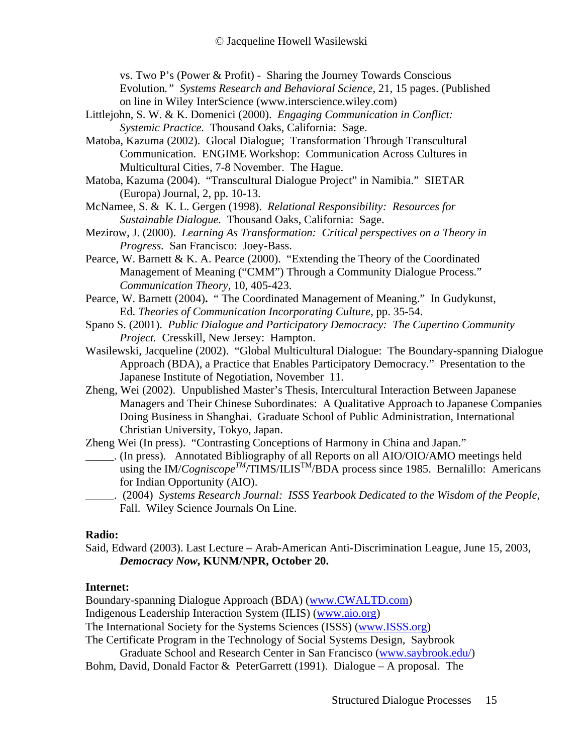vs. Two P's (Power & Profit) - Sharing the Journey Towards Conscious Evolution*." Systems Research and Behavioral Science*, 21, 15 pages. (Published on line in Wiley InterScience (www.interscience.wiley.com)

- Littlejohn, S. W. & K. Domenici (2000). *Engaging Communication in Conflict: Systemic Practice.* Thousand Oaks, California: Sage.
- Matoba, Kazuma (2002). Glocal Dialogue; Transformation Through Transcultural Communication. ENGIME Workshop: Communication Across Cultures in Multicultural Cities, 7-8 November. The Hague.
- Matoba, Kazuma (2004). "Transcultural Dialogue Project" in Namibia." SIETAR (Europa) Journal, 2, pp. 10-13.
- McNamee, S. & K. L. Gergen (1998). *Relational Responsibility: Resources for Sustainable Dialogue.* Thousand Oaks, California: Sage.
- Mezirow, J. (2000). *Learning As Transformation: Critical perspectives on a Theory in Progress.* San Francisco: Joey-Bass.
- Pearce, W. Barnett & K. A. Pearce (2000). "Extending the Theory of the Coordinated Management of Meaning ("CMM") Through a Community Dialogue Process." *Communication Theory,* 10, 405-423.
- Pearce, W. Barnett (2004)**.** " The Coordinated Management of Meaning." In Gudykunst, Ed. *Theories of Communication Incorporating Culture*, pp. 35-54.
- Spano S. (2001). *Public Dialogue and Participatory Democracy: The Cupertino Community Project.* Cresskill, New Jersey: Hampton.
- Wasilewski, Jacqueline (2002). "Global Multicultural Dialogue: The Boundary-spanning Dialogue Approach (BDA), a Practice that Enables Participatory Democracy." Presentation to the Japanese Institute of Negotiation, November 11.
- Zheng, Wei (2002). Unpublished Master's Thesis, Intercultural Interaction Between Japanese Managers and Their Chinese Subordinates: A Qualitative Approach to Japanese Companies Doing Business in Shanghai. Graduate School of Public Administration, International Christian University, Tokyo, Japan.
- Zheng Wei (In press). "Contrasting Conceptions of Harmony in China and Japan."
- \_\_\_\_\_. (In press). Annotated Bibliography of all Reports on all AIO/OIO/AMO meetings held using the IM/*Cogniscope<sup>TM</sup>*/TIMS/ILIS<sup>TM</sup>/BDA process since 1985. Bernalillo: Americans for Indian Opportunity (AIO).
- \_\_\_\_\_. (2004) *Systems Research Journal: ISSS Yearbook Dedicated to the Wisdom of the People*, Fall. Wiley Science Journals On Line.

#### **Radio:**

Said, Edward (2003). Last Lecture – Arab-American Anti-Discrimination League, June 15, 2003, *Democracy Now***, KUNM/NPR, October 20.**

#### **Internet:**

Boundary-spanning Dialogue Approach (BDA) (www.CWALTD.com) Indigenous Leadership Interaction System (ILIS) (www.aio.org)

The International Society for the Systems Sciences (ISSS) (www.ISSS.org)

The Certificate Program in the Technology of Social Systems Design, Saybrook

Graduate School and Research Center in San Francisco (www.saybrook.edu/)

Bohm, David, Donald Factor & PeterGarrett (1991). Dialogue – A proposal. The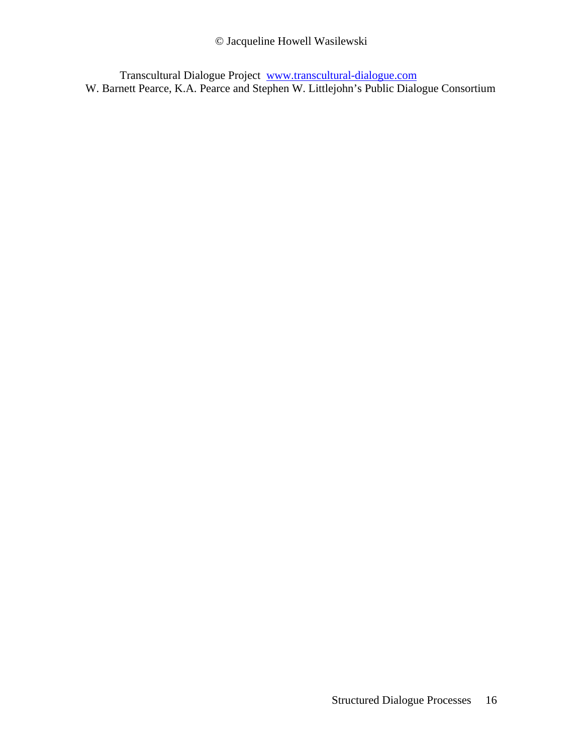© Jacqueline Howell Wasilewski

Transcultural Dialogue Projectwww.transcultural-dialogue.com W. Barnett Pearce, K.A. Pearce and Stephen W. Littlejohn's Public Dialogue Consortium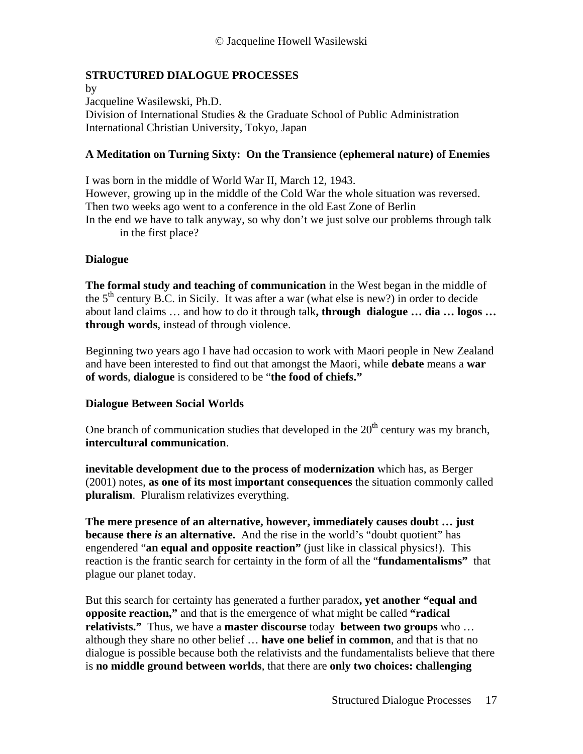### **STRUCTURED DIALOGUE PROCESSES**

by Jacqueline Wasilewski, Ph.D. Division of International Studies & the Graduate School of Public Administration International Christian University, Tokyo, Japan

### **A Meditation on Turning Sixty: On the Transience (ephemeral nature) of Enemies**

I was born in the middle of World War II, March 12, 1943. However, growing up in the middle of the Cold War the whole situation was reversed. Then two weeks ago went to a conference in the old East Zone of Berlin In the end we have to talk anyway, so why don't we just solve our problems through talk in the first place?

#### **Dialogue**

**The formal study and teaching of communication** in the West began in the middle of the  $5<sup>th</sup>$  century B.C. in Sicily. It was after a war (what else is new?) in order to decide about land claims … and how to do it through talk**, through dialogue … dia … logos … through words**, instead of through violence.

Beginning two years ago I have had occasion to work with Maori people in New Zealand and have been interested to find out that amongst the Maori, while **debate** means a **war of words**, **dialogue** is considered to be "**the food of chiefs."**

#### **Dialogue Between Social Worlds**

One branch of communication studies that developed in the  $20<sup>th</sup>$  century was my branch, **intercultural communication**.

**inevitable development due to the process of modernization** which has, as Berger (2001) notes, **as one of its most important consequences** the situation commonly called **pluralism**. Pluralism relativizes everything.

**The mere presence of an alternative, however, immediately causes doubt … just because there** *is* **an alternative.** And the rise in the world's "doubt quotient" has engendered "**an equal and opposite reaction"** (just like in classical physics!). This reaction is the frantic search for certainty in the form of all the "**fundamentalisms"** that plague our planet today.

But this search for certainty has generated a further paradox**, yet another "equal and opposite reaction,"** and that is the emergence of what might be called **"radical relativists."** Thus, we have a **master discourse** today **between two groups** who … although they share no other belief … **have one belief in common**, and that is that no dialogue is possible because both the relativists and the fundamentalists believe that there is **no middle ground between worlds**, that there are **only two choices: challenging**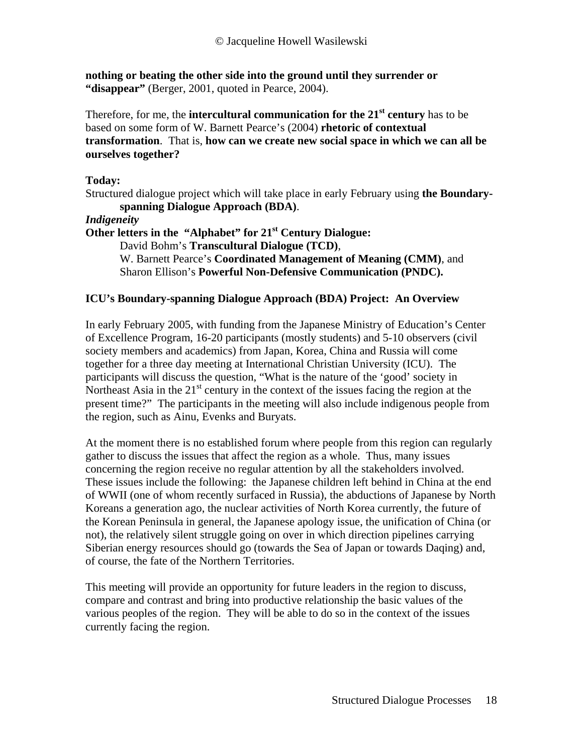**nothing or beating the other side into the ground until they surrender or "disappear"** (Berger, 2001, quoted in Pearce, 2004).

Therefore, for me, the **intercultural communication for the 21st century** has to be based on some form of W. Barnett Pearce's (2004) **rhetoric of contextual transformation**. That is, **how can we create new social space in which we can all be ourselves together?** 

#### **Today:**

Structured dialogue project which will take place in early February using **the Boundaryspanning Dialogue Approach (BDA)**.

#### *Indigeneity*

**Other letters in the "Alphabet" for 21st Century Dialogue:**  David Bohm's **Transcultural Dialogue (TCD)**, W. Barnett Pearce's **Coordinated Management of Meaning (CMM)**, and Sharon Ellison's **Powerful Non-Defensive Communication (PNDC).**

#### **ICU's Boundary-spanning Dialogue Approach (BDA) Project: An Overview**

In early February 2005, with funding from the Japanese Ministry of Education's Center of Excellence Program, 16-20 participants (mostly students) and 5-10 observers (civil society members and academics) from Japan, Korea, China and Russia will come together for a three day meeting at International Christian University (ICU). The participants will discuss the question, "What is the nature of the 'good' society in Northeast Asia in the  $21<sup>st</sup>$  century in the context of the issues facing the region at the present time?" The participants in the meeting will also include indigenous people from the region, such as Ainu, Evenks and Buryats.

At the moment there is no established forum where people from this region can regularly gather to discuss the issues that affect the region as a whole. Thus, many issues concerning the region receive no regular attention by all the stakeholders involved. These issues include the following: the Japanese children left behind in China at the end of WWII (one of whom recently surfaced in Russia), the abductions of Japanese by North Koreans a generation ago, the nuclear activities of North Korea currently, the future of the Korean Peninsula in general, the Japanese apology issue, the unification of China (or not), the relatively silent struggle going on over in which direction pipelines carrying Siberian energy resources should go (towards the Sea of Japan or towards Daqing) and, of course, the fate of the Northern Territories.

This meeting will provide an opportunity for future leaders in the region to discuss, compare and contrast and bring into productive relationship the basic values of the various peoples of the region. They will be able to do so in the context of the issues currently facing the region.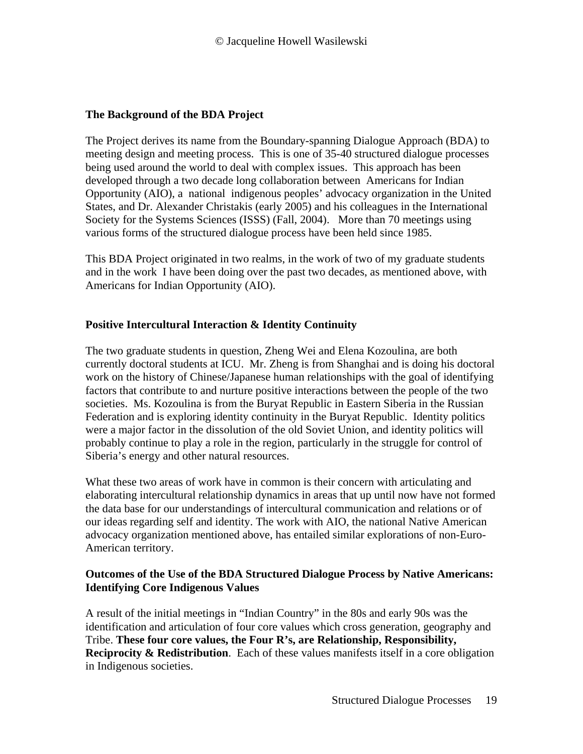# **The Background of the BDA Project**

The Project derives its name from the Boundary-spanning Dialogue Approach (BDA) to meeting design and meeting process. This is one of 35-40 structured dialogue processes being used around the world to deal with complex issues. This approach has been developed through a two decade long collaboration between Americans for Indian Opportunity (AIO), a national indigenous peoples' advocacy organization in the United States, and Dr. Alexander Christakis (early 2005) and his colleagues in the International Society for the Systems Sciences (ISSS) (Fall, 2004). More than 70 meetings using various forms of the structured dialogue process have been held since 1985.

This BDA Project originated in two realms, in the work of two of my graduate students and in the work I have been doing over the past two decades, as mentioned above, with Americans for Indian Opportunity (AIO).

#### **Positive Intercultural Interaction & Identity Continuity**

The two graduate students in question, Zheng Wei and Elena Kozoulina, are both currently doctoral students at ICU. Mr. Zheng is from Shanghai and is doing his doctoral work on the history of Chinese/Japanese human relationships with the goal of identifying factors that contribute to and nurture positive interactions between the people of the two societies. Ms. Kozoulina is from the Buryat Republic in Eastern Siberia in the Russian Federation and is exploring identity continuity in the Buryat Republic. Identity politics were a major factor in the dissolution of the old Soviet Union, and identity politics will probably continue to play a role in the region, particularly in the struggle for control of Siberia's energy and other natural resources.

What these two areas of work have in common is their concern with articulating and elaborating intercultural relationship dynamics in areas that up until now have not formed the data base for our understandings of intercultural communication and relations or of our ideas regarding self and identity. The work with AIO, the national Native American advocacy organization mentioned above, has entailed similar explorations of non-Euro-American territory.

#### **Outcomes of the Use of the BDA Structured Dialogue Process by Native Americans: Identifying Core Indigenous Values**

A result of the initial meetings in "Indian Country" in the 80s and early 90s was the identification and articulation of four core values which cross generation, geography and Tribe. **These four core values, the Four R's, are Relationship, Responsibility, Reciprocity & Redistribution.** Each of these values manifests itself in a core obligation in Indigenous societies.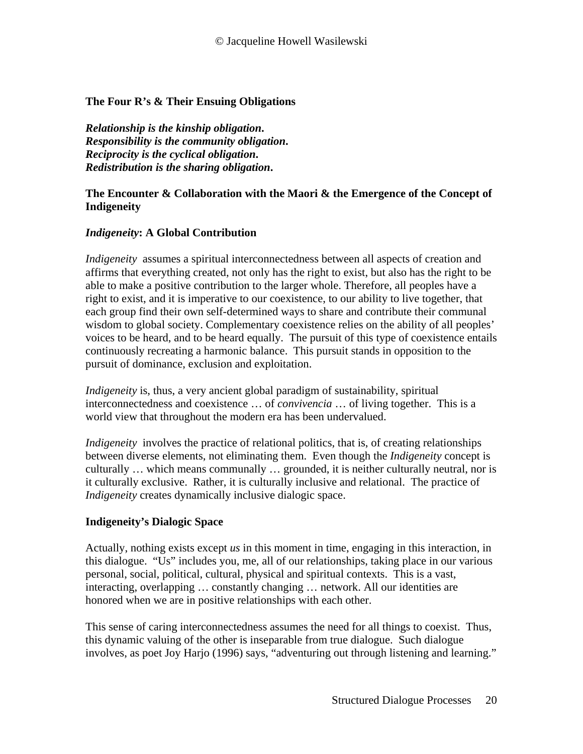# **The Four R's & Their Ensuing Obligations**

*Relationship is the kinship obligation***.** *Responsibility is the community obligation***.** *Reciprocity is the cyclical obligation***.** *Redistribution is the sharing obligation***.**

#### **The Encounter & Collaboration with the Maori & the Emergence of the Concept of Indigeneity**

#### *Indigeneity***: A Global Contribution**

*Indigeneity* assumes a spiritual interconnectedness between all aspects of creation and affirms that everything created, not only has the right to exist, but also has the right to be able to make a positive contribution to the larger whole. Therefore, all peoples have a right to exist, and it is imperative to our coexistence, to our ability to live together, that each group find their own self-determined ways to share and contribute their communal wisdom to global society. Complementary coexistence relies on the ability of all peoples' voices to be heard, and to be heard equally. The pursuit of this type of coexistence entails continuously recreating a harmonic balance. This pursuit stands in opposition to the pursuit of dominance, exclusion and exploitation.

*Indigeneity* is, thus, a very ancient global paradigm of sustainability, spiritual interconnectedness and coexistence … of *convivencia* … of living together. This is a world view that throughout the modern era has been undervalued.

*Indigeneity* involves the practice of relational politics, that is, of creating relationships between diverse elements, not eliminating them. Even though the *Indigeneity* concept is culturally … which means communally … grounded, it is neither culturally neutral, nor is it culturally exclusive. Rather, it is culturally inclusive and relational. The practice of *Indigeneity* creates dynamically inclusive dialogic space.

#### **Indigeneity's Dialogic Space**

Actually, nothing exists except *us* in this moment in time, engaging in this interaction, in this dialogue. "Us" includes you, me, all of our relationships, taking place in our various personal, social, political, cultural, physical and spiritual contexts. This is a vast, interacting, overlapping … constantly changing … network. All our identities are honored when we are in positive relationships with each other.

This sense of caring interconnectedness assumes the need for all things to coexist. Thus, this dynamic valuing of the other is inseparable from true dialogue. Such dialogue involves, as poet Joy Harjo (1996) says, "adventuring out through listening and learning."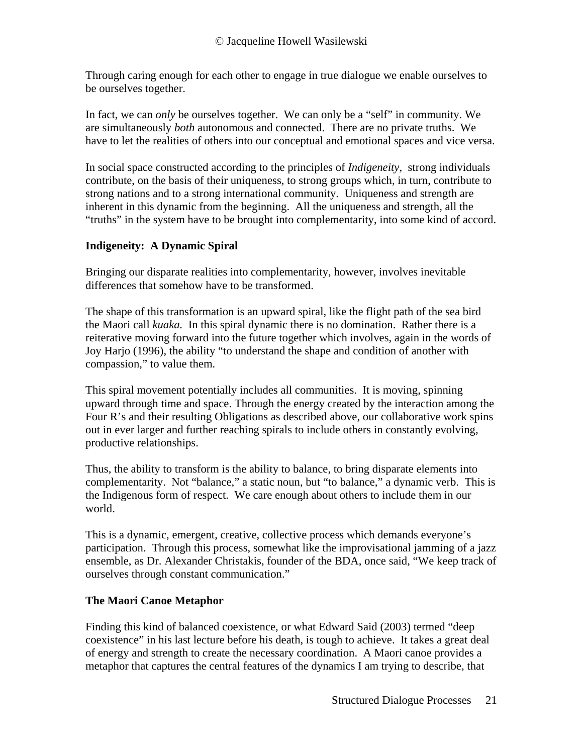Through caring enough for each other to engage in true dialogue we enable ourselves to be ourselves together.

In fact, we can *only* be ourselves together. We can only be a "self" in community. We are simultaneously *both* autonomous and connected. There are no private truths. We have to let the realities of others into our conceptual and emotional spaces and vice versa.

In social space constructed according to the principles of *Indigeneity*, strong individuals contribute, on the basis of their uniqueness, to strong groups which, in turn, contribute to strong nations and to a strong international community. Uniqueness and strength are inherent in this dynamic from the beginning. All the uniqueness and strength, all the "truths" in the system have to be brought into complementarity, into some kind of accord.

# **Indigeneity: A Dynamic Spiral**

Bringing our disparate realities into complementarity, however, involves inevitable differences that somehow have to be transformed.

The shape of this transformation is an upward spiral, like the flight path of the sea bird the Maori call *kuaka.* In this spiral dynamic there is no domination. Rather there is a reiterative moving forward into the future together which involves, again in the words of Joy Harjo (1996), the ability "to understand the shape and condition of another with compassion," to value them.

This spiral movement potentially includes all communities. It is moving, spinning upward through time and space. Through the energy created by the interaction among the Four R's and their resulting Obligations as described above, our collaborative work spins out in ever larger and further reaching spirals to include others in constantly evolving, productive relationships.

Thus, the ability to transform is the ability to balance, to bring disparate elements into complementarity. Not "balance," a static noun, but "to balance," a dynamic verb. This is the Indigenous form of respect. We care enough about others to include them in our world.

This is a dynamic, emergent, creative, collective process which demands everyone's participation. Through this process, somewhat like the improvisational jamming of a jazz ensemble, as Dr. Alexander Christakis, founder of the BDA, once said, "We keep track of ourselves through constant communication."

#### **The Maori Canoe Metaphor**

Finding this kind of balanced coexistence, or what Edward Said (2003) termed "deep coexistence" in his last lecture before his death, is tough to achieve. It takes a great deal of energy and strength to create the necessary coordination. A Maori canoe provides a metaphor that captures the central features of the dynamics I am trying to describe, that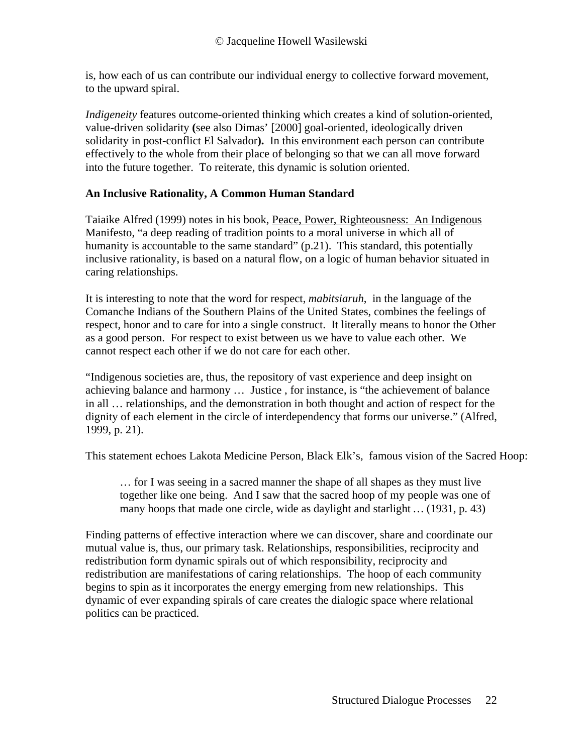is, how each of us can contribute our individual energy to collective forward movement, to the upward spiral.

*Indigeneity* features outcome-oriented thinking which creates a kind of solution-oriented, value-driven solidarity **(**see also Dimas' [2000] goal-oriented, ideologically driven solidarity in post-conflict El Salvador**).** In this environment each person can contribute effectively to the whole from their place of belonging so that we can all move forward into the future together. To reiterate, this dynamic is solution oriented.

#### **An Inclusive Rationality, A Common Human Standard**

Taiaike Alfred (1999) notes in his book, Peace, Power, Righteousness: An Indigenous Manifesto, "a deep reading of tradition points to a moral universe in which all of humanity is accountable to the same standard" (p.21). This standard, this potentially inclusive rationality, is based on a natural flow, on a logic of human behavior situated in caring relationships.

It is interesting to note that the word for respect, *mabitsiaruh*, in the language of the Comanche Indians of the Southern Plains of the United States, combines the feelings of respect, honor and to care for into a single construct. It literally means to honor the Other as a good person. For respect to exist between us we have to value each other. We cannot respect each other if we do not care for each other.

"Indigenous societies are, thus, the repository of vast experience and deep insight on achieving balance and harmony … Justice , for instance, is "the achievement of balance in all … relationships, and the demonstration in both thought and action of respect for the dignity of each element in the circle of interdependency that forms our universe." (Alfred, 1999, p. 21).

This statement echoes Lakota Medicine Person, Black Elk's, famous vision of the Sacred Hoop:

… for I was seeing in a sacred manner the shape of all shapes as they must live together like one being. And I saw that the sacred hoop of my people was one of many hoops that made one circle, wide as daylight and starlight *…* (1931, p. 43)

Finding patterns of effective interaction where we can discover, share and coordinate our mutual value is, thus, our primary task. Relationships, responsibilities, reciprocity and redistribution form dynamic spirals out of which responsibility, reciprocity and redistribution are manifestations of caring relationships. The hoop of each community begins to spin as it incorporates the energy emerging from new relationships. This dynamic of ever expanding spirals of care creates the dialogic space where relational politics can be practiced.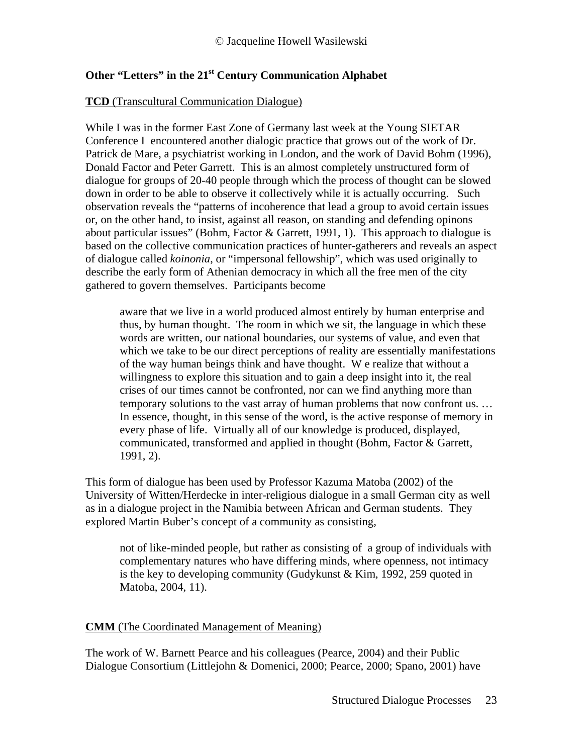# **Other "Letters" in the 21st Century Communication Alphabet**

# **TCD** (Transcultural Communication Dialogue)

While I was in the former East Zone of Germany last week at the Young SIETAR Conference I encountered another dialogic practice that grows out of the work of Dr. Patrick de Mare, a psychiatrist working in London, and the work of David Bohm (1996), Donald Factor and Peter Garrett. This is an almost completely unstructured form of dialogue for groups of 20-40 people through which the process of thought can be slowed down in order to be able to observe it collectively while it is actually occurring. Such observation reveals the "patterns of incoherence that lead a group to avoid certain issues or, on the other hand, to insist, against all reason, on standing and defending opinons about particular issues" (Bohm, Factor & Garrett, 1991, 1). This approach to dialogue is based on the collective communication practices of hunter-gatherers and reveals an aspect of dialogue called *koinonia*, or "impersonal fellowship", which was used originally to describe the early form of Athenian democracy in which all the free men of the city gathered to govern themselves. Participants become

aware that we live in a world produced almost entirely by human enterprise and thus, by human thought. The room in which we sit, the language in which these words are written, our national boundaries, our systems of value, and even that which we take to be our direct perceptions of reality are essentially manifestations of the way human beings think and have thought. W e realize that without a willingness to explore this situation and to gain a deep insight into it, the real crises of our times cannot be confronted, nor can we find anything more than temporary solutions to the vast array of human problems that now confront us. … In essence, thought, in this sense of the word, is the active response of memory in every phase of life. Virtually all of our knowledge is produced, displayed, communicated, transformed and applied in thought (Bohm, Factor & Garrett, 1991, 2).

This form of dialogue has been used by Professor Kazuma Matoba (2002) of the University of Witten/Herdecke in inter-religious dialogue in a small German city as well as in a dialogue project in the Namibia between African and German students. They explored Martin Buber's concept of a community as consisting,

not of like-minded people, but rather as consisting of a group of individuals with complementary natures who have differing minds, where openness, not intimacy is the key to developing community (Gudykunst & Kim, 1992, 259 quoted in Matoba, 2004, 11).

#### **CMM** (The Coordinated Management of Meaning)

The work of W. Barnett Pearce and his colleagues (Pearce, 2004) and their Public Dialogue Consortium (Littlejohn & Domenici, 2000; Pearce, 2000; Spano, 2001) have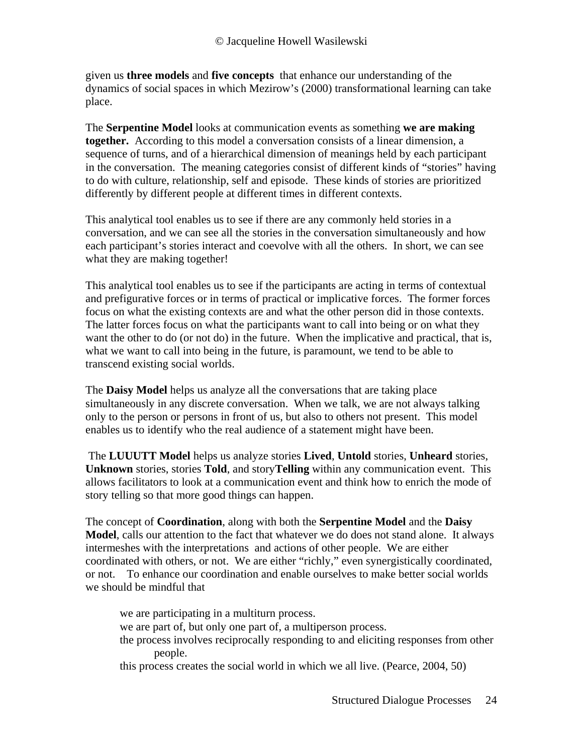given us **three models** and **five concepts** that enhance our understanding of the dynamics of social spaces in which Mezirow's (2000) transformational learning can take place.

The **Serpentine Model** looks at communication events as something **we are making together.** According to this model a conversation consists of a linear dimension, a sequence of turns, and of a hierarchical dimension of meanings held by each participant in the conversation. The meaning categories consist of different kinds of "stories" having to do with culture, relationship, self and episode. These kinds of stories are prioritized differently by different people at different times in different contexts.

This analytical tool enables us to see if there are any commonly held stories in a conversation, and we can see all the stories in the conversation simultaneously and how each participant's stories interact and coevolve with all the others. In short, we can see what they are making together!

This analytical tool enables us to see if the participants are acting in terms of contextual and prefigurative forces or in terms of practical or implicative forces. The former forces focus on what the existing contexts are and what the other person did in those contexts. The latter forces focus on what the participants want to call into being or on what they want the other to do (or not do) in the future. When the implicative and practical, that is, what we want to call into being in the future, is paramount, we tend to be able to transcend existing social worlds.

The **Daisy Model** helps us analyze all the conversations that are taking place simultaneously in any discrete conversation. When we talk, we are not always talking only to the person or persons in front of us, but also to others not present. This model enables us to identify who the real audience of a statement might have been.

 The **LUUUTT Model** helps us analyze stories **Lived**, **Untold** stories, **Unheard** stories, **Unknown** stories, stories **Told**, and story**Telling** within any communication event. This allows facilitators to look at a communication event and think how to enrich the mode of story telling so that more good things can happen.

The concept of **Coordination**, along with both the **Serpentine Model** and the **Daisy Model**, calls our attention to the fact that whatever we do does not stand alone. It always intermeshes with the interpretations and actions of other people. We are either coordinated with others, or not. We are either "richly," even synergistically coordinated, or not. To enhance our coordination and enable ourselves to make better social worlds we should be mindful that

 we are participating in a multiturn process. we are part of, but only one part of, a multiperson process. the process involves reciprocally responding to and eliciting responses from other people. this process creates the social world in which we all live. (Pearce, 2004, 50)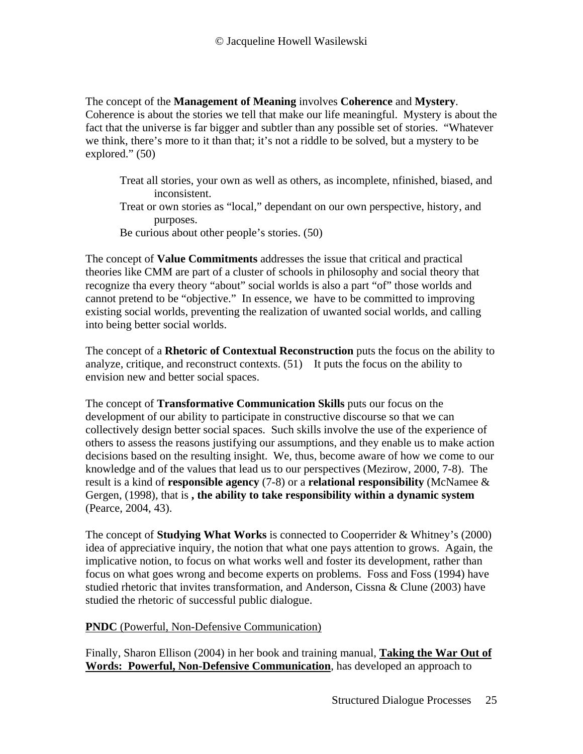The concept of the **Management of Meaning** involves **Coherence** and **Mystery**. Coherence is about the stories we tell that make our life meaningful. Mystery is about the fact that the universe is far bigger and subtler than any possible set of stories. "Whatever we think, there's more to it than that; it's not a riddle to be solved, but a mystery to be explored." (50)

- Treat all stories, your own as well as others, as incomplete, nfinished, biased, and inconsistent.
- Treat or own stories as "local," dependant on our own perspective, history, and purposes.
- Be curious about other people's stories. (50)

The concept of **Value Commitments** addresses the issue that critical and practical theories like CMM are part of a cluster of schools in philosophy and social theory that recognize tha every theory "about" social worlds is also a part "of" those worlds and cannot pretend to be "objective." In essence, we have to be committed to improving existing social worlds, preventing the realization of uwanted social worlds, and calling into being better social worlds.

The concept of a **Rhetoric of Contextual Reconstruction** puts the focus on the ability to analyze, critique, and reconstruct contexts. (51) It puts the focus on the ability to envision new and better social spaces.

The concept of **Transformative Communication Skills** puts our focus on the development of our ability to participate in constructive discourse so that we can collectively design better social spaces. Such skills involve the use of the experience of others to assess the reasons justifying our assumptions, and they enable us to make action decisions based on the resulting insight. We, thus, become aware of how we come to our knowledge and of the values that lead us to our perspectives (Mezirow, 2000, 7-8). The result is a kind of **responsible agency** (7-8) or a **relational responsibility** (McNamee & Gergen, (1998), that is **, the ability to take responsibility within a dynamic system** (Pearce, 2004, 43).

The concept of **Studying What Works** is connected to Cooperrider & Whitney's (2000) idea of appreciative inquiry, the notion that what one pays attention to grows. Again, the implicative notion, to focus on what works well and foster its development, rather than focus on what goes wrong and become experts on problems. Foss and Foss (1994) have studied rhetoric that invites transformation, and Anderson, Cissna & Clune (2003) have studied the rhetoric of successful public dialogue.

#### **PNDC** (Powerful, Non-Defensive Communication)

Finally, Sharon Ellison (2004) in her book and training manual, **Taking the War Out of Words: Powerful, Non-Defensive Communication**, has developed an approach to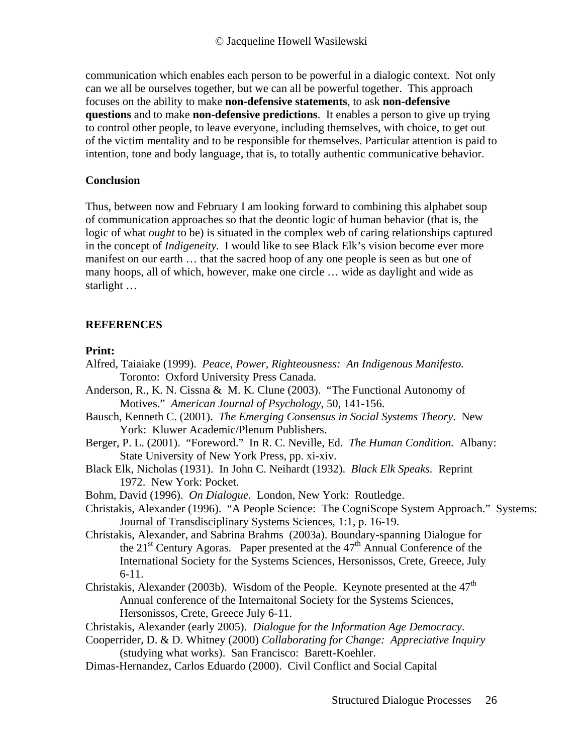communication which enables each person to be powerful in a dialogic context. Not only can we all be ourselves together, but we can all be powerful together. This approach focuses on the ability to make **non-defensive statements**, to ask **non-defensive questions** and to make **non-defensive predictions**. It enables a person to give up trying to control other people, to leave everyone, including themselves, with choice, to get out of the victim mentality and to be responsible for themselves. Particular attention is paid to intention, tone and body language, that is, to totally authentic communicative behavior.

#### **Conclusion**

Thus, between now and February I am looking forward to combining this alphabet soup of communication approaches so that the deontic logic of human behavior (that is, the logic of what *ought* to be) is situated in the complex web of caring relationships captured in the concept of *Indigeneity.* I would like to see Black Elk's vision become ever more manifest on our earth … that the sacred hoop of any one people is seen as but one of many hoops, all of which, however, make one circle … wide as daylight and wide as starlight …

# **REFERENCES**

#### **Print:**

- Alfred, Taiaiake (1999). *Peace, Power, Righteousness: An Indigenous Manifesto.* Toronto: Oxford University Press Canada.
- Anderson, R., K. N. Cissna & M. K. Clune (2003). "The Functional Autonomy of Motives." *American Journal of Psychology,* 50, 141-156.
- Bausch, Kenneth C. (2001). *The Emerging Consensus in Social Systems Theory*. New York: Kluwer Academic/Plenum Publishers.
- Berger, P. L. (2001). "Foreword." In R. C. Neville, Ed. *The Human Condition.* Albany: State University of New York Press, pp. xi-xiv.
- Black Elk, Nicholas (1931). In John C. Neihardt (1932). *Black Elk Speaks.* Reprint 1972. New York: Pocket.
- Bohm, David (1996). *On Dialogue.* London, New York: Routledge.
- Christakis, Alexander (1996). "A People Science: The CogniScope System Approach." Systems: Journal of Transdisciplinary Systems Sciences, 1:1, p. 16-19.
- Christakis, Alexander, and Sabrina Brahms (2003a). Boundary-spanning Dialogue for the  $21<sup>st</sup>$  Century Agoras. Paper presented at the  $47<sup>th</sup>$  Annual Conference of the International Society for the Systems Sciences, Hersonissos, Crete, Greece, July 6-11.
- Christakis, Alexander (2003b). Wisdom of the People. Keynote presented at the  $47<sup>th</sup>$ Annual conference of the Internaitonal Society for the Systems Sciences, Hersonissos, Crete, Greece July 6-11.
- Christakis, Alexander (early 2005). *Dialogue for the Information Age Democracy*.
- Cooperrider, D. & D. Whitney (2000) *Collaborating for Change: Appreciative Inquiry* (studying what works). San Francisco: Barett-Koehler.
- Dimas-Hernandez, Carlos Eduardo (2000). Civil Conflict and Social Capital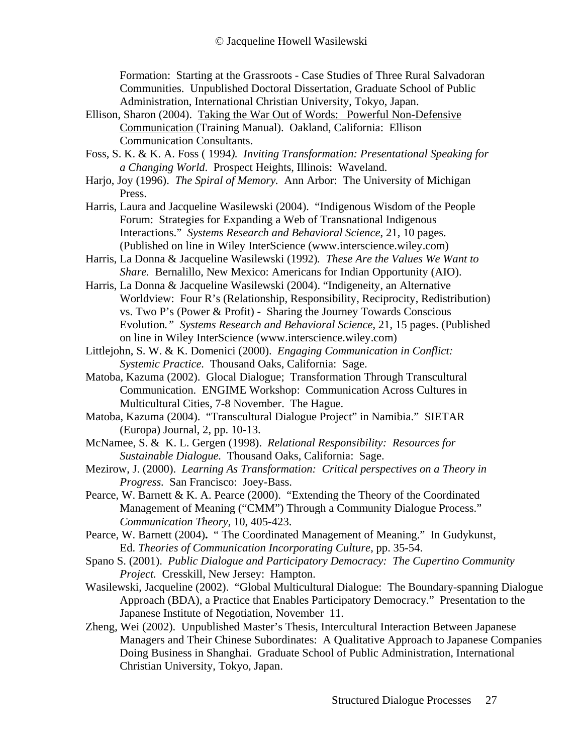Formation: Starting at the Grassroots - Case Studies of Three Rural Salvadoran Communities. Unpublished Doctoral Dissertation, Graduate School of Public Administration, International Christian University, Tokyo, Japan.

- Ellison, Sharon (2004). Taking the War Out of Words: Powerful Non-Defensive Communication (Training Manual). Oakland, California: Ellison Communication Consultants.
- Foss, S. K. & K. A. Foss ( 1994*). Inviting Transformation: Presentational Speaking for a Changing World*. Prospect Heights, Illinois: Waveland.
- Harjo, Joy (1996). *The Spiral of Memory.* Ann Arbor: The University of Michigan Press.
- Harris, Laura and Jacqueline Wasilewski (2004). "Indigenous Wisdom of the People Forum: Strategies for Expanding a Web of Transnational Indigenous Interactions." *Systems Research and Behavioral Science*, 21, 10 pages. (Published on line in Wiley InterScience (www.interscience.wiley.com)
- Harris, La Donna & Jacqueline Wasilewski (1992)*. These Are the Values We Want to Share.* Bernalillo, New Mexico: Americans for Indian Opportunity (AIO).
- Harris, La Donna & Jacqueline Wasilewski (2004). "Indigeneity, an Alternative Worldview: Four R's (Relationship, Responsibility, Reciprocity, Redistribution) vs. Two P's (Power & Profit) - Sharing the Journey Towards Conscious Evolution*." Systems Research and Behavioral Science*, 21, 15 pages. (Published on line in Wiley InterScience (www.interscience.wiley.com)
- Littlejohn, S. W. & K. Domenici (2000). *Engaging Communication in Conflict: Systemic Practice.* Thousand Oaks, California: Sage.
- Matoba, Kazuma (2002). Glocal Dialogue; Transformation Through Transcultural Communication. ENGIME Workshop: Communication Across Cultures in Multicultural Cities, 7-8 November. The Hague.
- Matoba, Kazuma (2004). "Transcultural Dialogue Project" in Namibia." SIETAR (Europa) Journal, 2, pp. 10-13.
- McNamee, S. & K. L. Gergen (1998). *Relational Responsibility: Resources for Sustainable Dialogue.* Thousand Oaks, California: Sage.
- Mezirow, J. (2000). *Learning As Transformation: Critical perspectives on a Theory in Progress.* San Francisco: Joey-Bass.
- Pearce, W. Barnett & K. A. Pearce (2000). "Extending the Theory of the Coordinated Management of Meaning ("CMM") Through a Community Dialogue Process." *Communication Theory,* 10, 405-423.
- Pearce, W. Barnett (2004)**.** " The Coordinated Management of Meaning." In Gudykunst, Ed. *Theories of Communication Incorporating Culture*, pp. 35-54.
- Spano S. (2001). *Public Dialogue and Participatory Democracy: The Cupertino Community Project.* Cresskill, New Jersey: Hampton.
- Wasilewski, Jacqueline (2002). "Global Multicultural Dialogue: The Boundary-spanning Dialogue Approach (BDA), a Practice that Enables Participatory Democracy." Presentation to the Japanese Institute of Negotiation, November 11.
- Zheng, Wei (2002). Unpublished Master's Thesis, Intercultural Interaction Between Japanese Managers and Their Chinese Subordinates: A Qualitative Approach to Japanese Companies Doing Business in Shanghai. Graduate School of Public Administration, International Christian University, Tokyo, Japan.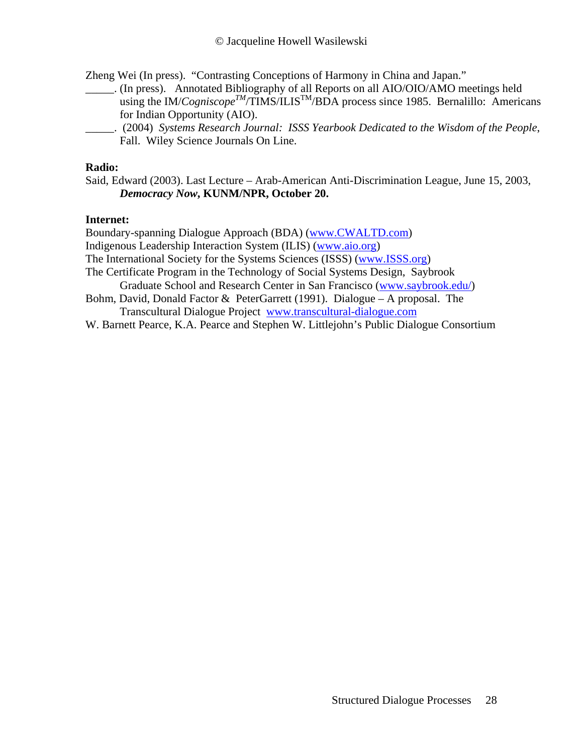Zheng Wei (In press). "Contrasting Conceptions of Harmony in China and Japan."

- \_\_\_\_\_. (In press). Annotated Bibliography of all Reports on all AIO/OIO/AMO meetings held using the IM/*Cogniscope*<sup>TM</sup>/TIMS/ILIS<sup>TM</sup>/BDA process since 1985. Bernalillo: Americans for Indian Opportunity (AIO).
- \_\_\_\_\_. (2004) *Systems Research Journal: ISSS Yearbook Dedicated to the Wisdom of the People*, Fall. Wiley Science Journals On Line.

#### **Radio:**

Said, Edward (2003). Last Lecture – Arab-American Anti-Discrimination League, June 15, 2003, *Democracy Now***, KUNM/NPR, October 20.**

# **Internet:**

Boundary-spanning Dialogue Approach (BDA) (www.CWALTD.com)

Indigenous Leadership Interaction System (ILIS) (www.aio.org)

The International Society for the Systems Sciences (ISSS) (www.ISSS.org)

The Certificate Program in the Technology of Social Systems Design, Saybrook

Graduate School and Research Center in San Francisco (www.saybrook.edu/) Bohm, David, Donald Factor & PeterGarrett (1991). Dialogue – A proposal. The Transcultural Dialogue Projectwww.transcultural-dialogue.com

W. Barnett Pearce, K.A. Pearce and Stephen W. Littlejohn's Public Dialogue Consortium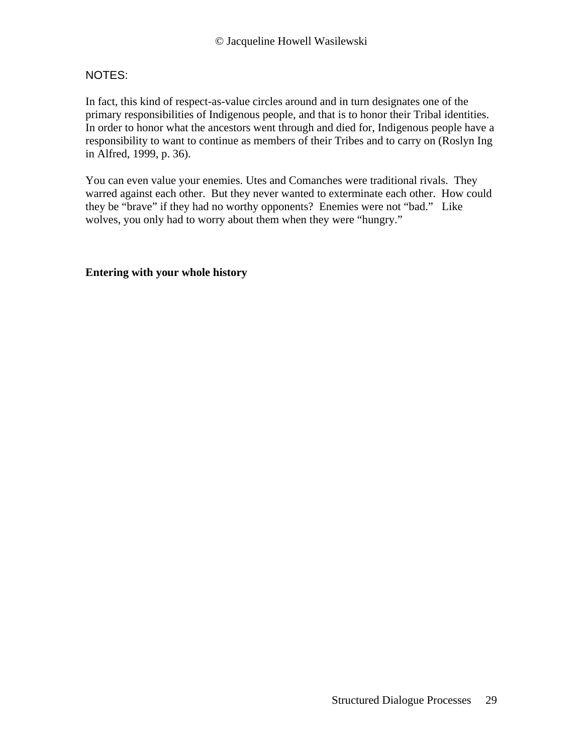# NOTES:

In fact, this kind of respect-as-value circles around and in turn designates one of the primary responsibilities of Indigenous people, and that is to honor their Tribal identities. In order to honor what the ancestors went through and died for, Indigenous people have a responsibility to want to continue as members of their Tribes and to carry on (Roslyn Ing in Alfred, 1999, p. 36).

You can even value your enemies. Utes and Comanches were traditional rivals. They warred against each other. But they never wanted to exterminate each other. How could they be "brave" if they had no worthy opponents? Enemies were not "bad." Like wolves, you only had to worry about them when they were "hungry."

**Entering with your whole history**